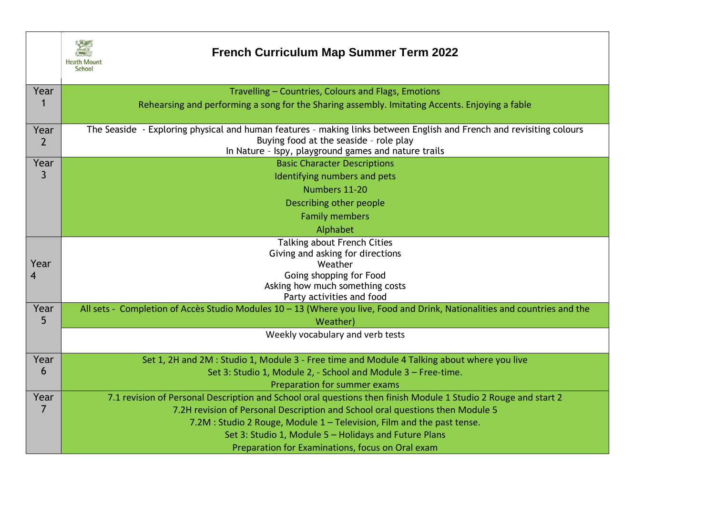

## **French Curriculum Map Summer Term 2022**

| Year                                                               | Travelling - Countries, Colours and Flags, Emotions                                                                        |  |  |  |  |
|--------------------------------------------------------------------|----------------------------------------------------------------------------------------------------------------------------|--|--|--|--|
|                                                                    | Rehearsing and performing a song for the Sharing assembly. Imitating Accents. Enjoying a fable                             |  |  |  |  |
|                                                                    |                                                                                                                            |  |  |  |  |
| Year                                                               | The Seaside - Exploring physical and human features - making links between English and French and revisiting colours       |  |  |  |  |
| $\overline{2}$                                                     | Buying food at the seaside - role play                                                                                     |  |  |  |  |
| Year                                                               | In Nature - Ispy, playground games and nature trails<br><b>Basic Character Descriptions</b>                                |  |  |  |  |
| $\mathsf{3}$                                                       | Identifying numbers and pets                                                                                               |  |  |  |  |
|                                                                    |                                                                                                                            |  |  |  |  |
|                                                                    | Numbers 11-20                                                                                                              |  |  |  |  |
|                                                                    | Describing other people                                                                                                    |  |  |  |  |
|                                                                    | <b>Family members</b>                                                                                                      |  |  |  |  |
|                                                                    | Alphabet                                                                                                                   |  |  |  |  |
|                                                                    | <b>Talking about French Cities</b>                                                                                         |  |  |  |  |
|                                                                    | Giving and asking for directions                                                                                           |  |  |  |  |
| Year                                                               | Weather                                                                                                                    |  |  |  |  |
| 4                                                                  | Going shopping for Food                                                                                                    |  |  |  |  |
|                                                                    | Asking how much something costs<br>Party activities and food                                                               |  |  |  |  |
| Year                                                               | All sets - Completion of Accès Studio Modules 10 - 13 (Where you live, Food and Drink, Nationalities and countries and the |  |  |  |  |
| 5                                                                  | Weather)                                                                                                                   |  |  |  |  |
|                                                                    | Weekly vocabulary and verb tests                                                                                           |  |  |  |  |
|                                                                    |                                                                                                                            |  |  |  |  |
| Year                                                               | Set 1, 2H and 2M : Studio 1, Module 3 - Free time and Module 4 Talking about where you live                                |  |  |  |  |
| 6<br>Set 3: Studio 1, Module 2, - School and Module 3 - Free-time. |                                                                                                                            |  |  |  |  |
|                                                                    | Preparation for summer exams                                                                                               |  |  |  |  |
| Year                                                               | 7.1 revision of Personal Description and School oral questions then finish Module 1 Studio 2 Rouge and start 2             |  |  |  |  |
| 7                                                                  | 7.2H revision of Personal Description and School oral questions then Module 5                                              |  |  |  |  |
|                                                                    | 7.2M : Studio 2 Rouge, Module 1 - Television, Film and the past tense.                                                     |  |  |  |  |
|                                                                    | Set 3: Studio 1, Module 5 - Holidays and Future Plans                                                                      |  |  |  |  |
|                                                                    | Preparation for Examinations, focus on Oral exam                                                                           |  |  |  |  |